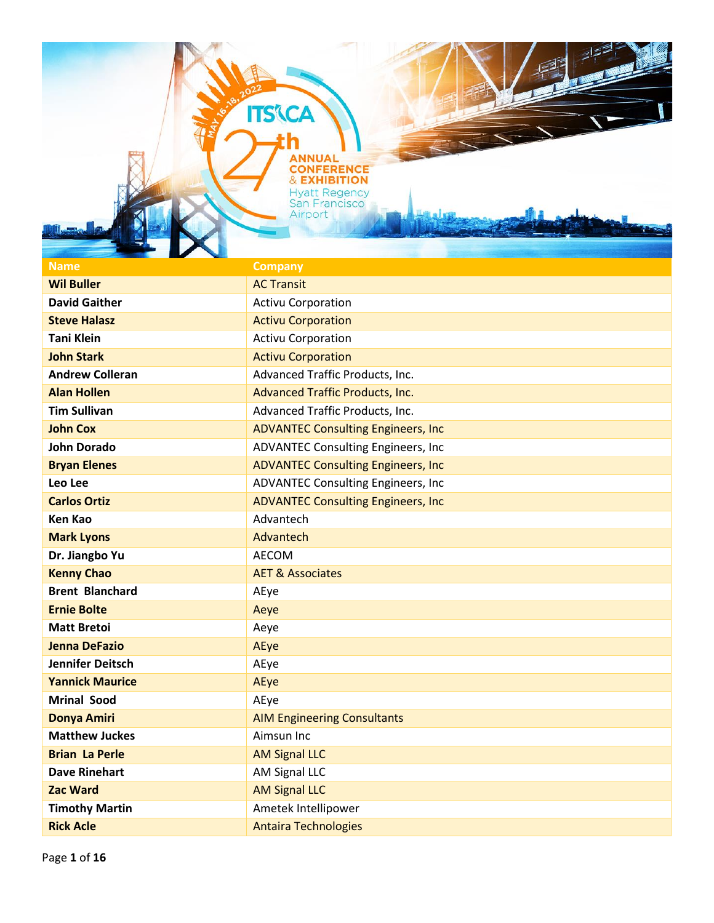**ITS'\CA** 

| $\blacksquare$          |                                            |
|-------------------------|--------------------------------------------|
| <b>Name</b>             | <b>Company</b>                             |
| <b>Wil Buller</b>       | <b>AC Transit</b>                          |
| <b>David Gaither</b>    | <b>Activu Corporation</b>                  |
| <b>Steve Halasz</b>     | <b>Activu Corporation</b>                  |
| <b>Tani Klein</b>       | <b>Activu Corporation</b>                  |
| <b>John Stark</b>       | <b>Activu Corporation</b>                  |
| <b>Andrew Colleran</b>  | Advanced Traffic Products, Inc.            |
| <b>Alan Hollen</b>      | <b>Advanced Traffic Products, Inc.</b>     |
| <b>Tim Sullivan</b>     | Advanced Traffic Products, Inc.            |
| <b>John Cox</b>         | <b>ADVANTEC Consulting Engineers, Inc.</b> |
| <b>John Dorado</b>      | <b>ADVANTEC Consulting Engineers, Inc.</b> |
| <b>Bryan Elenes</b>     | <b>ADVANTEC Consulting Engineers, Inc.</b> |
| Leo Lee                 | ADVANTEC Consulting Engineers, Inc         |
| <b>Carlos Ortiz</b>     | <b>ADVANTEC Consulting Engineers, Inc.</b> |
| <b>Ken Kao</b>          | Advantech                                  |
| <b>Mark Lyons</b>       | Advantech                                  |
| Dr. Jiangbo Yu          | <b>AECOM</b>                               |
| <b>Kenny Chao</b>       | <b>AET &amp; Associates</b>                |
| <b>Brent Blanchard</b>  | AEye                                       |
| <b>Ernie Bolte</b>      | Aeye                                       |
| <b>Matt Bretoi</b>      | Aeye                                       |
| <b>Jenna DeFazio</b>    | AEye                                       |
| <b>Jennifer Deitsch</b> | AEye                                       |
| <b>Yannick Maurice</b>  | AEye                                       |
| <b>Mrinal Sood</b>      | AEye                                       |
| <b>Donya Amiri</b>      | <b>AIM Engineering Consultants</b>         |
| <b>Matthew Juckes</b>   | Aimsun Inc                                 |
| <b>Brian La Perle</b>   | <b>AM Signal LLC</b>                       |
| <b>Dave Rinehart</b>    | AM Signal LLC                              |
| <b>Zac Ward</b>         | <b>AM Signal LLC</b>                       |
| <b>Timothy Martin</b>   | Ametek Intellipower                        |
| <b>Rick Acle</b>        | <b>Antaira Technologies</b>                |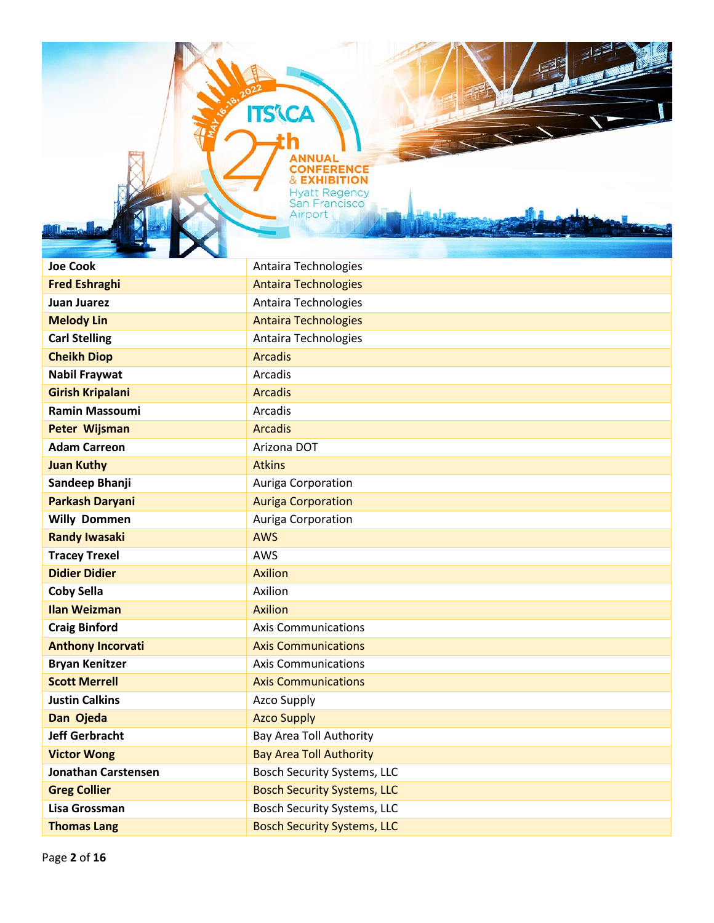**ITS'\CA** 

łh

| <b>Joe Cook</b>            | Antaira Technologies               |
|----------------------------|------------------------------------|
| <b>Fred Eshraghi</b>       | <b>Antaira Technologies</b>        |
| <b>Juan Juarez</b>         | Antaira Technologies               |
| <b>Melody Lin</b>          | <b>Antaira Technologies</b>        |
| <b>Carl Stelling</b>       | Antaira Technologies               |
| <b>Cheikh Diop</b>         | <b>Arcadis</b>                     |
| <b>Nabil Fraywat</b>       | Arcadis                            |
| <b>Girish Kripalani</b>    | <b>Arcadis</b>                     |
| <b>Ramin Massoumi</b>      | Arcadis                            |
| <b>Peter Wijsman</b>       | <b>Arcadis</b>                     |
| <b>Adam Carreon</b>        | Arizona DOT                        |
| <b>Juan Kuthy</b>          | <b>Atkins</b>                      |
| Sandeep Bhanji             | Auriga Corporation                 |
| <b>Parkash Daryani</b>     | <b>Auriga Corporation</b>          |
| <b>Willy Dommen</b>        | Auriga Corporation                 |
| <b>Randy Iwasaki</b>       | <b>AWS</b>                         |
| <b>Tracey Trexel</b>       | <b>AWS</b>                         |
| <b>Didier Didier</b>       | <b>Axilion</b>                     |
| <b>Coby Sella</b>          | Axilion                            |
| <b>Ilan Weizman</b>        | <b>Axilion</b>                     |
| <b>Craig Binford</b>       | <b>Axis Communications</b>         |
| <b>Anthony Incorvati</b>   | <b>Axis Communications</b>         |
| <b>Bryan Kenitzer</b>      | <b>Axis Communications</b>         |
| <b>Scott Merrell</b>       | <b>Axis Communications</b>         |
| <b>Justin Calkins</b>      | <b>Azco Supply</b>                 |
| Dan Ojeda                  | <b>Azco Supply</b>                 |
| <b>Jeff Gerbracht</b>      | Bay Area Toll Authority            |
| <b>Victor Wong</b>         | <b>Bay Area Toll Authority</b>     |
| <b>Jonathan Carstensen</b> | Bosch Security Systems, LLC        |
| <b>Greg Collier</b>        | <b>Bosch Security Systems, LLC</b> |
| Lisa Grossman              | <b>Bosch Security Systems, LLC</b> |
| <b>Thomas Lang</b>         | <b>Bosch Security Systems, LLC</b> |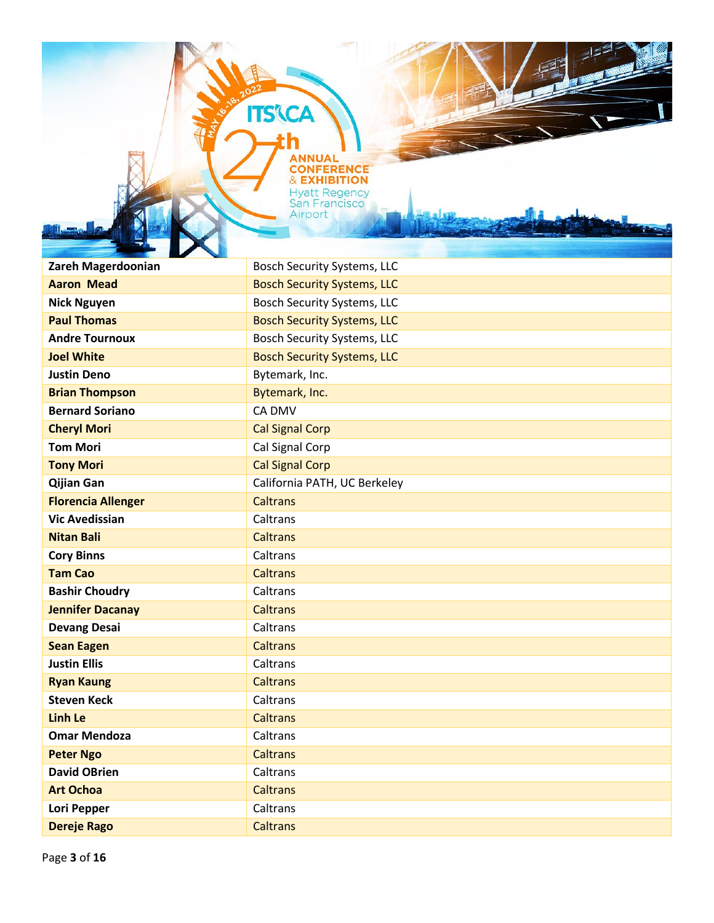**Zareh Magerdoonian** Bosch Security Systems, LLC **Aaron Mead** Bosch Security Systems, LLC **Nick Nguyen Bosch Security Systems, LLC Paul Thomas** Bosch Security Systems, LLC **Andre Tournoux Bosch Security Systems, LLC Joel White Bosch Security Systems, LLC Justin Deno** Bytemark, Inc. **Brian Thompson** Bytemark, Inc. **Bernard Soriano** CA DMV **Cheryl Mori** Cal Signal Corp **Tom Mori Cal Signal Corp Tony Mori Cal Signal Corp Qijian Gan** California PATH, UC Berkeley **Florencia Allenger** Caltrans **Vic Avedissian** Caltrans **Nitan Bali Nitan Bali Caltrans Cory Binns** Caltrans **Tam Cao** Caltrans **Bashir Choudry** Caltrans **Jennifer Dacanay** Caltrans **Devang Desai** Caltrans **Sean Eagen** Caltrans **Justin Ellis Caltrans Ryan Kaung Caltrans Steven Keck** Caltrans **Linh Le Linh Le Caltrans Omar Mendoza** Caltrans **Peter Ngo** Caltrans **David OBrien** Caltrans **Art Ochoa** Caltrans **Lori Pepper Caltrans Dereje Rago Caltrans** 

**ITS CA** 

**ONFEREI** 

**& EXHIBITION Hyatt Regency San Francisco** Airport

NCF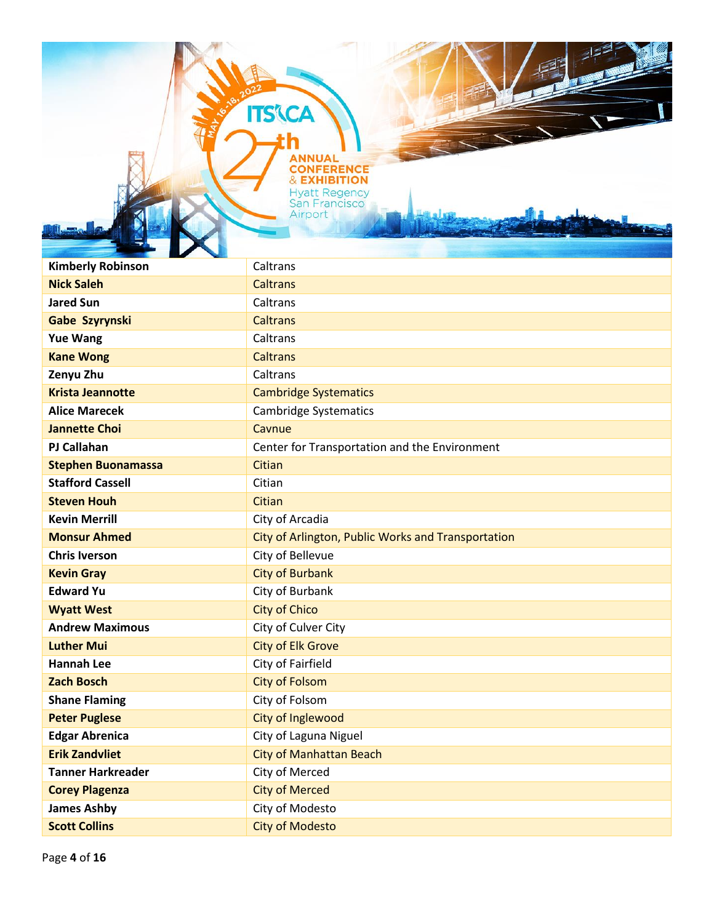**ITS'\CA** 

| <b>Kimberly Robinson</b>  | Caltrans                                           |
|---------------------------|----------------------------------------------------|
| <b>Nick Saleh</b>         | <b>Caltrans</b>                                    |
| <b>Jared Sun</b>          | Caltrans                                           |
| Gabe Szyrynski            | <b>Caltrans</b>                                    |
| <b>Yue Wang</b>           | Caltrans                                           |
| <b>Kane Wong</b>          | <b>Caltrans</b>                                    |
| Zenyu Zhu                 | Caltrans                                           |
| <b>Krista Jeannotte</b>   | <b>Cambridge Systematics</b>                       |
| <b>Alice Marecek</b>      | <b>Cambridge Systematics</b>                       |
| <b>Jannette Choi</b>      | Cavnue                                             |
| <b>PJ Callahan</b>        | Center for Transportation and the Environment      |
| <b>Stephen Buonamassa</b> | Citian                                             |
| <b>Stafford Cassell</b>   | Citian                                             |
| <b>Steven Houh</b>        | Citian                                             |
| <b>Kevin Merrill</b>      | City of Arcadia                                    |
| <b>Monsur Ahmed</b>       | City of Arlington, Public Works and Transportation |
| <b>Chris Iverson</b>      | City of Bellevue                                   |
| <b>Kevin Gray</b>         | <b>City of Burbank</b>                             |
| <b>Edward Yu</b>          | City of Burbank                                    |
| <b>Wyatt West</b>         | <b>City of Chico</b>                               |
| <b>Andrew Maximous</b>    | City of Culver City                                |
| <b>Luther Mui</b>         | <b>City of Elk Grove</b>                           |
| <b>Hannah Lee</b>         | City of Fairfield                                  |
| <b>Zach Bosch</b>         | <b>City of Folsom</b>                              |
| <b>Shane Flaming</b>      | City of Folsom                                     |
| <b>Peter Puglese</b>      | <b>City of Inglewood</b>                           |
| <b>Edgar Abrenica</b>     | City of Laguna Niguel                              |
| <b>Erik Zandvliet</b>     | <b>City of Manhattan Beach</b>                     |
| <b>Tanner Harkreader</b>  | City of Merced                                     |
| <b>Corey Plagenza</b>     | <b>City of Merced</b>                              |
| <b>James Ashby</b>        | City of Modesto                                    |
| <b>Scott Collins</b>      | <b>City of Modesto</b>                             |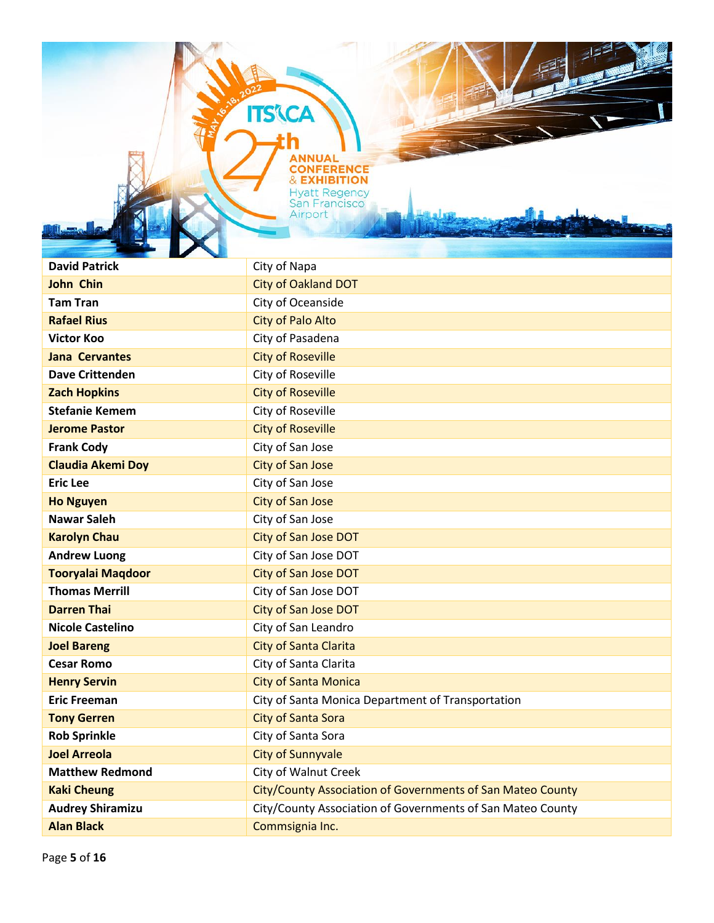**ITS'CA** 

| <b>David Patrick</b>     | City of Napa                                               |
|--------------------------|------------------------------------------------------------|
| <b>John Chin</b>         | <b>City of Oakland DOT</b>                                 |
| <b>Tam Tran</b>          | City of Oceanside                                          |
| <b>Rafael Rius</b>       | <b>City of Palo Alto</b>                                   |
| <b>Victor Koo</b>        | City of Pasadena                                           |
| <b>Jana Cervantes</b>    | <b>City of Roseville</b>                                   |
| <b>Dave Crittenden</b>   | City of Roseville                                          |
| <b>Zach Hopkins</b>      | <b>City of Roseville</b>                                   |
| <b>Stefanie Kemem</b>    | City of Roseville                                          |
| <b>Jerome Pastor</b>     | <b>City of Roseville</b>                                   |
| <b>Frank Cody</b>        | City of San Jose                                           |
| <b>Claudia Akemi Doy</b> | <b>City of San Jose</b>                                    |
| <b>Eric Lee</b>          | City of San Jose                                           |
| <b>Ho Nguyen</b>         | <b>City of San Jose</b>                                    |
| <b>Nawar Saleh</b>       | City of San Jose                                           |
| <b>Karolyn Chau</b>      | City of San Jose DOT                                       |
| <b>Andrew Luong</b>      | City of San Jose DOT                                       |
| <b>Tooryalai Maqdoor</b> | <b>City of San Jose DOT</b>                                |
| <b>Thomas Merrill</b>    | City of San Jose DOT                                       |
| <b>Darren Thai</b>       | <b>City of San Jose DOT</b>                                |
| <b>Nicole Castelino</b>  | City of San Leandro                                        |
| <b>Joel Bareng</b>       | <b>City of Santa Clarita</b>                               |
| <b>Cesar Romo</b>        | City of Santa Clarita                                      |
| <b>Henry Servin</b>      | <b>City of Santa Monica</b>                                |
| <b>Eric Freeman</b>      | City of Santa Monica Department of Transportation          |
| <b>Tony Gerren</b>       | <b>City of Santa Sora</b>                                  |
| <b>Rob Sprinkle</b>      | City of Santa Sora                                         |
| <b>Joel Arreola</b>      | <b>City of Sunnyvale</b>                                   |
| <b>Matthew Redmond</b>   | <b>City of Walnut Creek</b>                                |
| <b>Kaki Cheung</b>       | City/County Association of Governments of San Mateo County |
| <b>Audrey Shiramizu</b>  | City/County Association of Governments of San Mateo County |
| <b>Alan Black</b>        | Commsignia Inc.                                            |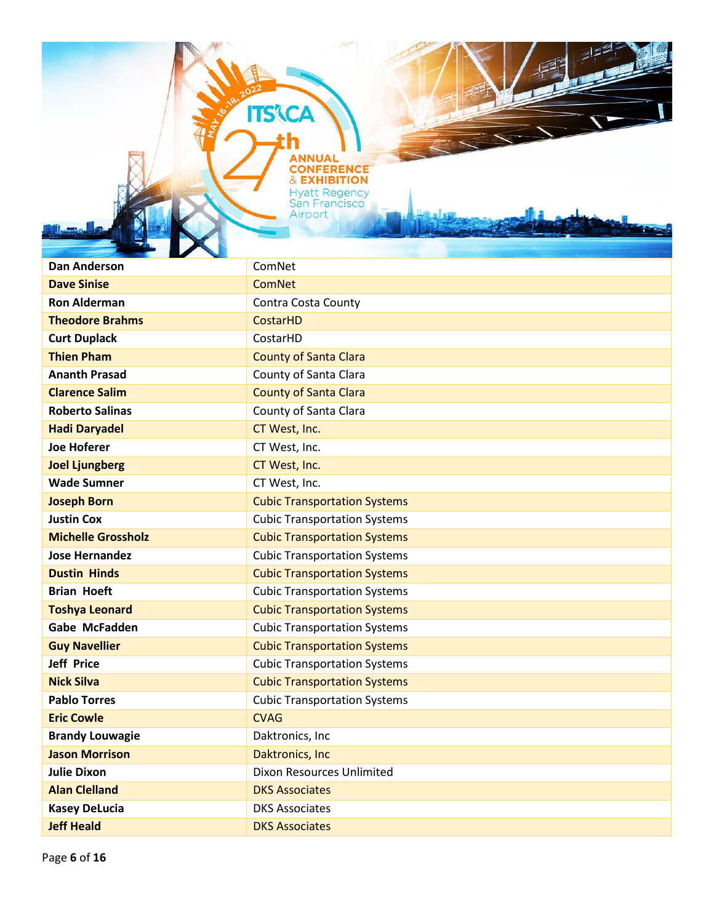**ITS'CA** 

| <b>Dan Anderson</b>       | ComNet                              |
|---------------------------|-------------------------------------|
| <b>Dave Sinise</b>        | <b>ComNet</b>                       |
| <b>Ron Alderman</b>       | Contra Costa County                 |
| <b>Theodore Brahms</b>    | <b>CostarHD</b>                     |
| <b>Curt Duplack</b>       | CostarHD                            |
| <b>Thien Pham</b>         | <b>County of Santa Clara</b>        |
| <b>Ananth Prasad</b>      | County of Santa Clara               |
| <b>Clarence Salim</b>     | <b>County of Santa Clara</b>        |
| <b>Roberto Salinas</b>    | County of Santa Clara               |
| <b>Hadi Daryadel</b>      | CT West, Inc.                       |
| <b>Joe Hoferer</b>        | CT West, Inc.                       |
| <b>Joel Ljungberg</b>     | CT West, Inc.                       |
| <b>Wade Sumner</b>        | CT West, Inc.                       |
| <b>Joseph Born</b>        | <b>Cubic Transportation Systems</b> |
| <b>Justin Cox</b>         | <b>Cubic Transportation Systems</b> |
| <b>Michelle Grossholz</b> | <b>Cubic Transportation Systems</b> |
| <b>Jose Hernandez</b>     | <b>Cubic Transportation Systems</b> |
| <b>Dustin Hinds</b>       | <b>Cubic Transportation Systems</b> |
| <b>Brian Hoeft</b>        | <b>Cubic Transportation Systems</b> |
| <b>Toshya Leonard</b>     | <b>Cubic Transportation Systems</b> |
| <b>Gabe McFadden</b>      | <b>Cubic Transportation Systems</b> |
| <b>Guy Navellier</b>      | <b>Cubic Transportation Systems</b> |
| <b>Jeff Price</b>         | <b>Cubic Transportation Systems</b> |
| <b>Nick Silva</b>         | <b>Cubic Transportation Systems</b> |
| <b>Pablo Torres</b>       | <b>Cubic Transportation Systems</b> |
| <b>Eric Cowle</b>         | <b>CVAG</b>                         |
| <b>Brandy Louwagie</b>    | Daktronics, Inc                     |
| <b>Jason Morrison</b>     | Daktronics, Inc                     |
| <b>Julie Dixon</b>        | Dixon Resources Unlimited           |
| <b>Alan Clelland</b>      | <b>DKS Associates</b>               |
| <b>Kasey DeLucia</b>      | <b>DKS Associates</b>               |
| <b>Jeff Heald</b>         | <b>DKS Associates</b>               |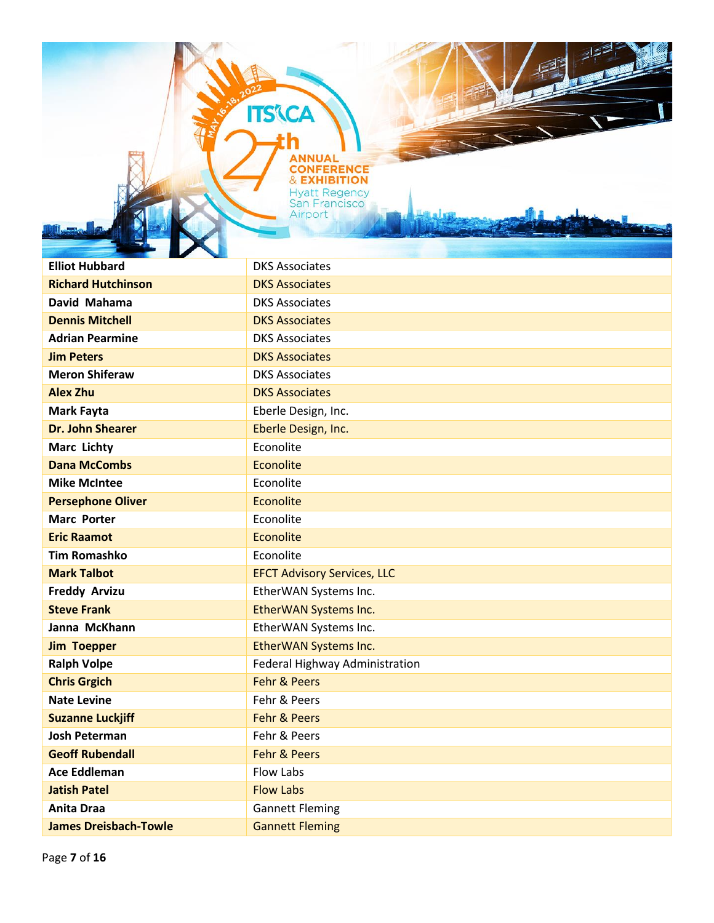**ITS'\CA** 

| Ш<br><b>STATE</b>            |                                    |
|------------------------------|------------------------------------|
| <b>Elliot Hubbard</b>        | <b>DKS Associates</b>              |
| <b>Richard Hutchinson</b>    | <b>DKS Associates</b>              |
| David Mahama                 | <b>DKS Associates</b>              |
| <b>Dennis Mitchell</b>       | <b>DKS Associates</b>              |
| <b>Adrian Pearmine</b>       | <b>DKS Associates</b>              |
| <b>Jim Peters</b>            | <b>DKS Associates</b>              |
| <b>Meron Shiferaw</b>        | <b>DKS Associates</b>              |
| <b>Alex Zhu</b>              | <b>DKS Associates</b>              |
| Mark Fayta                   | Eberle Design, Inc.                |
| <b>Dr. John Shearer</b>      | Eberle Design, Inc.                |
| Marc Lichty                  | Econolite                          |
| <b>Dana McCombs</b>          | Econolite                          |
| <b>Mike McIntee</b>          | Econolite                          |
| <b>Persephone Oliver</b>     | <b>Econolite</b>                   |
| <b>Marc Porter</b>           | Econolite                          |
| <b>Eric Raamot</b>           | Econolite                          |
| <b>Tim Romashko</b>          | Econolite                          |
| <b>Mark Talbot</b>           | <b>EFCT Advisory Services, LLC</b> |
| <b>Freddy Arvizu</b>         | EtherWAN Systems Inc.              |
| <b>Steve Frank</b>           | EtherWAN Systems Inc.              |
| Janna McKhann                | EtherWAN Systems Inc.              |
| <b>Jim Toepper</b>           | EtherWAN Systems Inc.              |
| <b>Ralph Volpe</b>           | Federal Highway Administration     |
| <b>Chris Grgich</b>          | <b>Fehr &amp; Peers</b>            |
| <b>Nate Levine</b>           | Fehr & Peers                       |
| <b>Suzanne Luckjiff</b>      | <b>Fehr &amp; Peers</b>            |
| <b>Josh Peterman</b>         | Fehr & Peers                       |
| <b>Geoff Rubendall</b>       | <b>Fehr &amp; Peers</b>            |
| <b>Ace Eddleman</b>          | Flow Labs                          |
| <b>Jatish Patel</b>          | <b>Flow Labs</b>                   |
| <b>Anita Draa</b>            | <b>Gannett Fleming</b>             |
| <b>James Dreisbach-Towle</b> | <b>Gannett Fleming</b>             |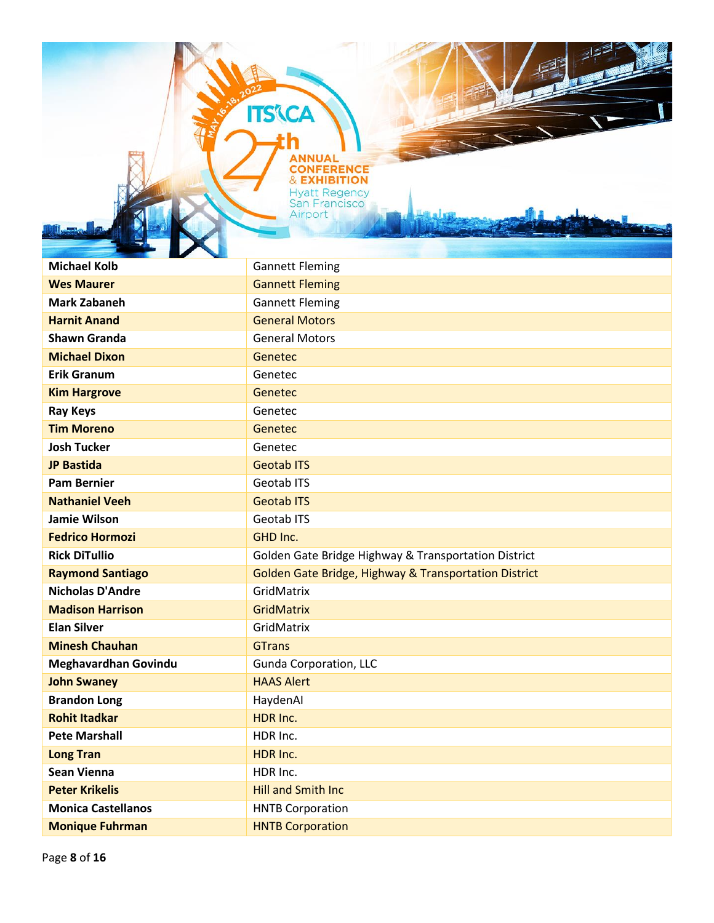**ITS'\CA** 

łh

| <b>Michael Kolb</b>       | <b>Gannett Fleming</b>                                |
|---------------------------|-------------------------------------------------------|
| <b>Wes Maurer</b>         | <b>Gannett Fleming</b>                                |
| <b>Mark Zabaneh</b>       | <b>Gannett Fleming</b>                                |
| <b>Harnit Anand</b>       | <b>General Motors</b>                                 |
| <b>Shawn Granda</b>       | <b>General Motors</b>                                 |
| <b>Michael Dixon</b>      | Genetec                                               |
| <b>Erik Granum</b>        | Genetec                                               |
| <b>Kim Hargrove</b>       | <b>Genetec</b>                                        |
| <b>Ray Keys</b>           | Genetec                                               |
| <b>Tim Moreno</b>         | <b>Genetec</b>                                        |
| <b>Josh Tucker</b>        | Genetec                                               |
| <b>JP Bastida</b>         | <b>Geotab ITS</b>                                     |
| <b>Pam Bernier</b>        | Geotab ITS                                            |
| <b>Nathaniel Veeh</b>     | <b>Geotab ITS</b>                                     |
| <b>Jamie Wilson</b>       | Geotab ITS                                            |
| <b>Fedrico Hormozi</b>    | GHD Inc.                                              |
| <b>Rick DiTullio</b>      | Golden Gate Bridge Highway & Transportation District  |
| <b>Raymond Santiago</b>   | Golden Gate Bridge, Highway & Transportation District |
| <b>Nicholas D'Andre</b>   | GridMatrix                                            |
| <b>Madison Harrison</b>   | <b>GridMatrix</b>                                     |
| <b>Elan Silver</b>        | GridMatrix                                            |
| <b>Minesh Chauhan</b>     | <b>GTrans</b>                                         |
| Meghavardhan Govindu      | Gunda Corporation, LLC                                |
| <b>John Swaney</b>        | <b>HAAS Alert</b>                                     |
| <b>Brandon Long</b>       | HaydenAl                                              |
| <b>Rohit Itadkar</b>      | HDR Inc.                                              |
| <b>Pete Marshall</b>      | HDR Inc.                                              |
| <b>Long Tran</b>          | HDR Inc.                                              |
| <b>Sean Vienna</b>        | HDR Inc.                                              |
| <b>Peter Krikelis</b>     | <b>Hill and Smith Inc</b>                             |
| <b>Monica Castellanos</b> | <b>HNTB Corporation</b>                               |
| <b>Monique Fuhrman</b>    | <b>HNTB Corporation</b>                               |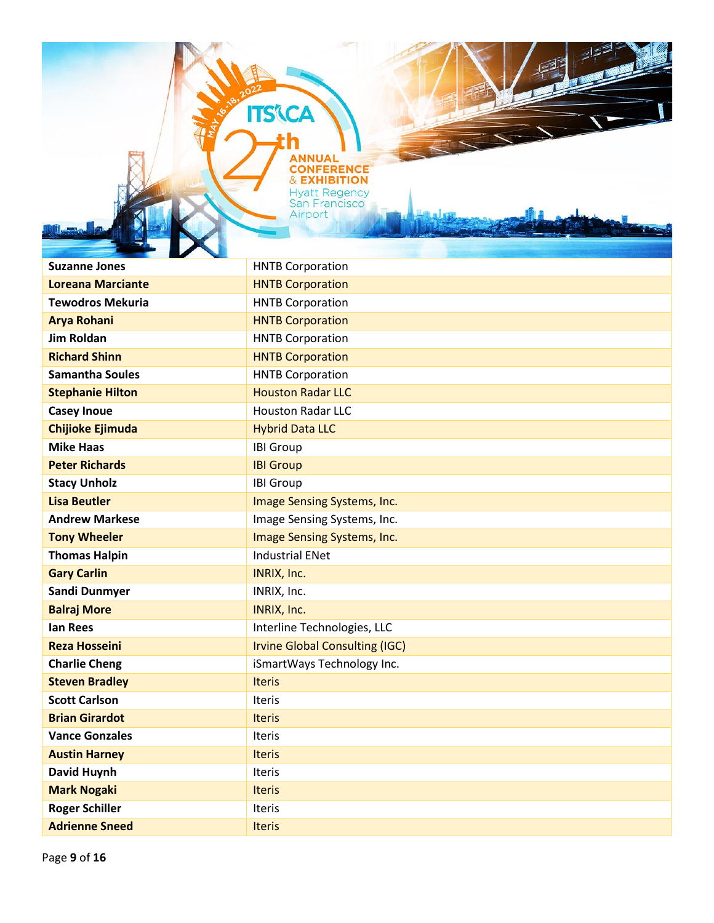**ITS'CA** 

| <b>Suzanne Jones</b>     | <b>HNTB Corporation</b>               |
|--------------------------|---------------------------------------|
| <b>Loreana Marciante</b> | <b>HNTB Corporation</b>               |
| <b>Tewodros Mekuria</b>  | <b>HNTB Corporation</b>               |
| <b>Arya Rohani</b>       | <b>HNTB Corporation</b>               |
| <b>Jim Roldan</b>        | <b>HNTB Corporation</b>               |
| <b>Richard Shinn</b>     | <b>HNTB Corporation</b>               |
| <b>Samantha Soules</b>   | <b>HNTB Corporation</b>               |
| <b>Stephanie Hilton</b>  | <b>Houston Radar LLC</b>              |
| <b>Casey Inoue</b>       | <b>Houston Radar LLC</b>              |
| <b>Chijioke Ejimuda</b>  | <b>Hybrid Data LLC</b>                |
| <b>Mike Haas</b>         | <b>IBI Group</b>                      |
| <b>Peter Richards</b>    | <b>IBI Group</b>                      |
| <b>Stacy Unholz</b>      | <b>IBI Group</b>                      |
| <b>Lisa Beutler</b>      | Image Sensing Systems, Inc.           |
| <b>Andrew Markese</b>    | Image Sensing Systems, Inc.           |
| <b>Tony Wheeler</b>      | Image Sensing Systems, Inc.           |
| <b>Thomas Halpin</b>     | <b>Industrial ENet</b>                |
| <b>Gary Carlin</b>       | INRIX, Inc.                           |
| Sandi Dunmyer            | INRIX, Inc.                           |
| <b>Balraj More</b>       | INRIX, Inc.                           |
| <b>Ian Rees</b>          | Interline Technologies, LLC           |
| <b>Reza Hosseini</b>     | <b>Irvine Global Consulting (IGC)</b> |
| <b>Charlie Cheng</b>     | iSmartWays Technology Inc.            |
| <b>Steven Bradley</b>    | <b>Iteris</b>                         |
| <b>Scott Carlson</b>     | Iteris                                |
| <b>Brian Girardot</b>    | <b>Iteris</b>                         |
| <b>Vance Gonzales</b>    | <b>Iteris</b>                         |
| <b>Austin Harney</b>     | <b>Iteris</b>                         |
| David Huynh              | Iteris                                |
| <b>Mark Nogaki</b>       | <b>Iteris</b>                         |
| <b>Roger Schiller</b>    | Iteris                                |
| <b>Adrienne Sneed</b>    | <b>Iteris</b>                         |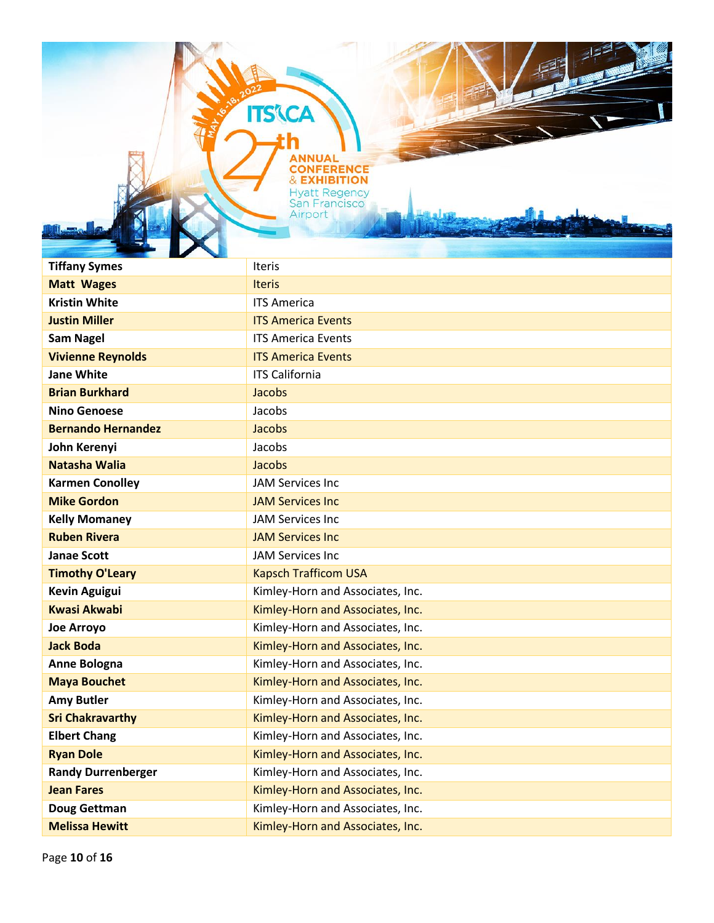**ITS'\CA** 

| <b>Tiffany Symes</b>      | <b>Iteris</b>                    |
|---------------------------|----------------------------------|
| <b>Matt Wages</b>         | <b>Iteris</b>                    |
| <b>Kristin White</b>      | <b>ITS America</b>               |
| <b>Justin Miller</b>      | <b>ITS America Events</b>        |
| <b>Sam Nagel</b>          | <b>ITS America Events</b>        |
| <b>Vivienne Reynolds</b>  | <b>ITS America Events</b>        |
| <b>Jane White</b>         | <b>ITS California</b>            |
| <b>Brian Burkhard</b>     | Jacobs                           |
| <b>Nino Genoese</b>       | Jacobs                           |
| <b>Bernando Hernandez</b> | Jacobs                           |
| John Kerenyi              | Jacobs                           |
| <b>Natasha Walia</b>      | Jacobs                           |
| <b>Karmen Conolley</b>    | <b>JAM Services Inc</b>          |
| <b>Mike Gordon</b>        | <b>JAM Services Inc</b>          |
| <b>Kelly Momaney</b>      | <b>JAM Services Inc</b>          |
| <b>Ruben Rivera</b>       | <b>JAM Services Inc</b>          |
| <b>Janae Scott</b>        | <b>JAM Services Inc</b>          |
| <b>Timothy O'Leary</b>    | <b>Kapsch Trafficom USA</b>      |
| <b>Kevin Aguigui</b>      | Kimley-Horn and Associates, Inc. |
| <b>Kwasi Akwabi</b>       | Kimley-Horn and Associates, Inc. |
| <b>Joe Arroyo</b>         | Kimley-Horn and Associates, Inc. |
| <b>Jack Boda</b>          | Kimley-Horn and Associates, Inc. |
| Anne Bologna              | Kimley-Horn and Associates, Inc. |
| <b>Maya Bouchet</b>       | Kimley-Horn and Associates, Inc. |
| <b>Amy Butler</b>         | Kimley-Horn and Associates, Inc. |
| <b>Sri Chakravarthy</b>   | Kimley-Horn and Associates, Inc. |
| <b>Elbert Chang</b>       | Kimley-Horn and Associates, Inc. |
| <b>Ryan Dole</b>          | Kimley-Horn and Associates, Inc. |
| <b>Randy Durrenberger</b> | Kimley-Horn and Associates, Inc. |
| <b>Jean Fares</b>         | Kimley-Horn and Associates, Inc. |
| Doug Gettman              | Kimley-Horn and Associates, Inc. |
| <b>Melissa Hewitt</b>     | Kimley-Horn and Associates, Inc. |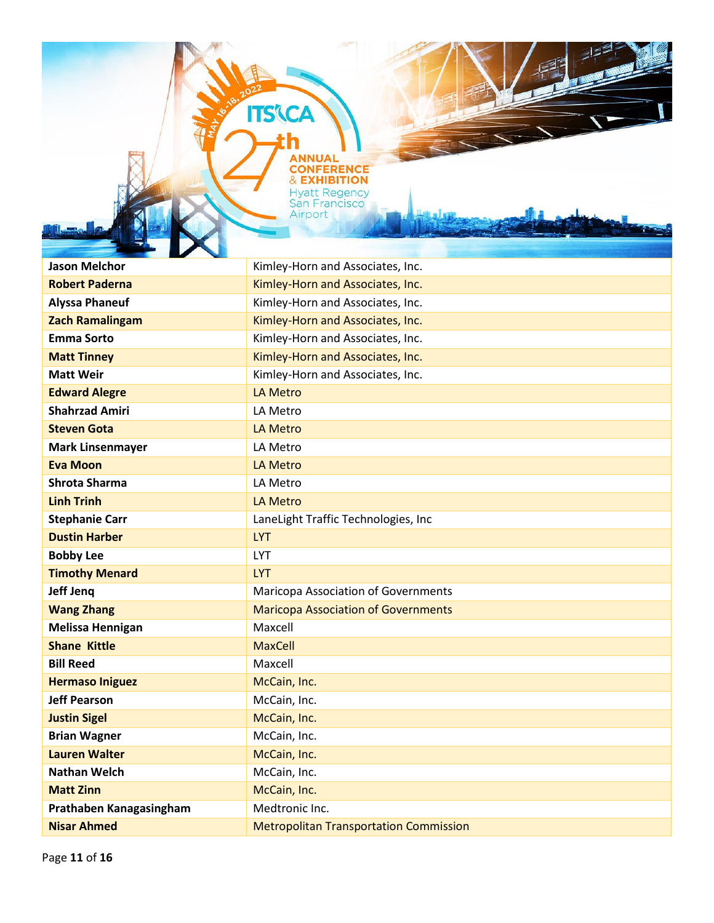**Jason Melchor** Mateur Melong Melong Kimley-Horn and Associates, Inc. **Robert Paderna Robert Paderna Kimley-Horn and Associates, Inc. Alyssa Phaneuf** Kimley-Horn and Associates, Inc. **Zach Ramalingam** Kimley-Horn and Associates, Inc. **Emma Sorto Emma Sorto Emma Sorto Emma Sorto Kimley-Horn and Associates, Inc. Matt Tinney** Matt Tinney **Kimley-Horn and Associates, Inc. Matt Weir** Matt Weir **Matt Weir** Kimley-Horn and Associates, Inc. **Edward Alegre LA Metro Shahrzad Amiri** LA Metro **Steven Gota** LA Metro **Mark Linsenmayer LA Metro Eva Moon** LA Metro **Shrota Sharma** LA Metro **Linh Trinh** LA Metro **Stephanie Carr Carr LaneLight Traffic Technologies, Inc. Dustin Harber LYT Bobby Lee** LYT **Timothy Menard** LYT **Jeff Jeng** Maricopa Association of Governments **Wang Zhang** Maricopa Association of Governments **Melissa Hennigan** Maxcell **Shane Kittle** MaxCell **Bill Reed** Maxcell **Hermaso Iniguez** McCain, Inc. **Jeff Pearson** McCain, Inc. **Justin Sigel McCain, Inc. Brian Wagner** McCain, Inc. **Lauren Walter** McCain, Inc. **Nathan Welch** McCain, Inc. **Matt Zinn** McCain, Inc. **Prathaben Kanagasingham** Medtronic Inc. **Nisar Ahmed** Metropolitan Transportation Commission

**ITS CA** 

**NFERE & EXHIBITION Hyatt Regency San Francisco** Airport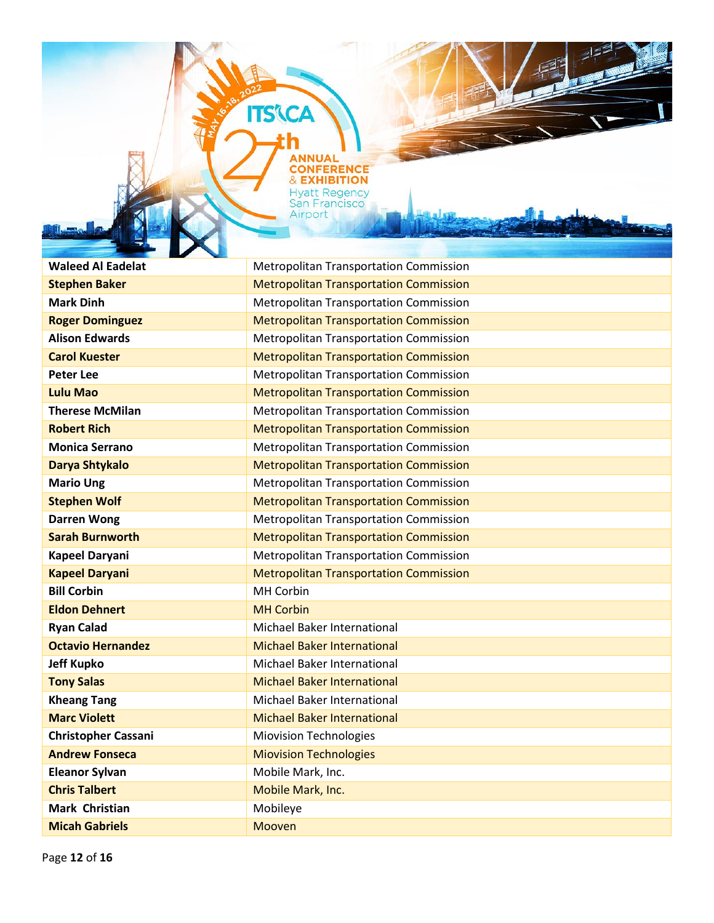**Waleed Al Eadelat** Metropolitan Transportation Commission **Stephen Baker** Metropolitan Transportation Commission **Mark Dinh** Metropolitan Transportation Commission **Roger Dominguez Metropolitan Transportation Commission Alison Edwards** Metropolitan Transportation Commission **Carol Kuester** Metropolitan Transportation Commission **Peter Lee** Metropolitan Transportation Commission **Lulu Mao** Metropolitan Transportation Commission **Therese McMilan** Metropolitan Transportation Commission **Robert Rich** Metropolitan Transportation Commission **Monica Serrano** Metropolitan Transportation Commission **Darya Shtykalo** Metropolitan Transportation Commission **Mario Ung Metropolitan Transportation Commission Stephen Wolf** Metropolitan Transportation Commission **Darren Wong** Metropolitan Transportation Commission **Sarah Burnworth Metropolitan Transportation Commission Kapeel Daryani** Metropolitan Transportation Commission **Kapeel Daryani** Metropolitan Transportation Commission **Bill Corbin** MH Corbin **Eldon Dehnert** MH Corbin **Ryan Calad** Michael Baker International **Octavio Hernandez** Michael Baker International **Jeff Kupko** Michael Baker International **Tony Salas** Michael Baker International **Kheang Tang** Michael Baker International **Marc Violett** Michael Baker International **Christopher Cassani** Miovision Technologies **Andrew Fonseca** Miovision Technologies **Eleanor Sylvan** Mobile Mark, Inc. **Chris Talbert** Mobile Mark, Inc. **Mark Christian**  Mobileye

**ITS'(CA** 

**ONFERENCE & EXHIBITION Hyatt Regency** San Francisco Airport

**Micah Gabriels** Mooven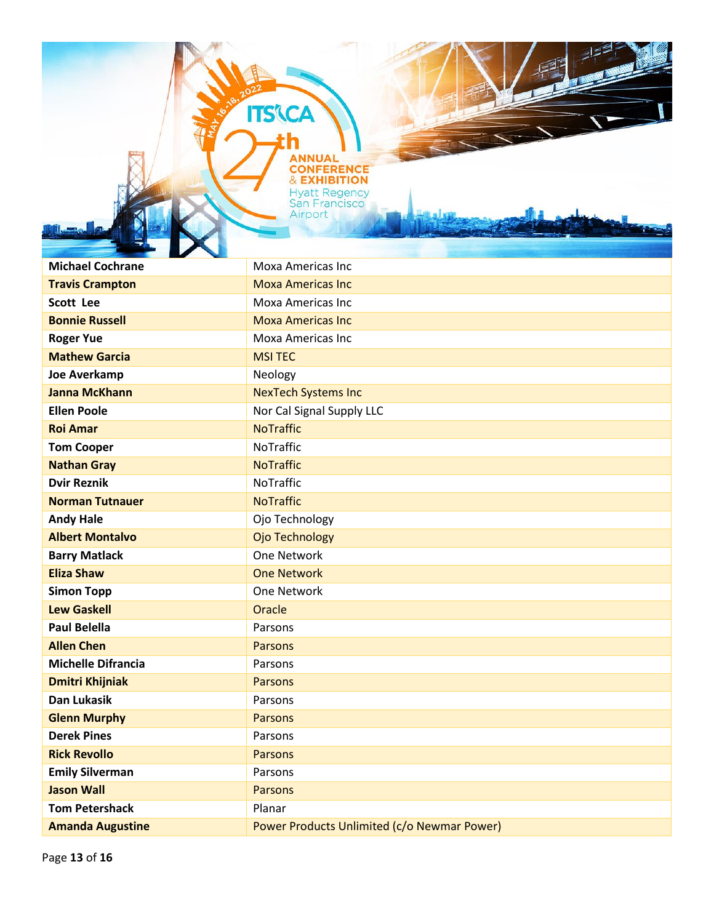**ITS'CA** 

| <b>Michael Cochrane</b>   | Moxa Americas Inc                           |
|---------------------------|---------------------------------------------|
| <b>Travis Crampton</b>    | <b>Moxa Americas Inc</b>                    |
| <b>Scott Lee</b>          | <b>Moxa Americas Inc</b>                    |
| <b>Bonnie Russell</b>     | <b>Moxa Americas Inc</b>                    |
| <b>Roger Yue</b>          | <b>Moxa Americas Inc</b>                    |
| <b>Mathew Garcia</b>      | <b>MSI TEC</b>                              |
| <b>Joe Averkamp</b>       | Neology                                     |
| <b>Janna McKhann</b>      | <b>NexTech Systems Inc</b>                  |
| <b>Ellen Poole</b>        | Nor Cal Signal Supply LLC                   |
| <b>Roi Amar</b>           | <b>NoTraffic</b>                            |
| <b>Tom Cooper</b>         | NoTraffic                                   |
| <b>Nathan Gray</b>        | <b>NoTraffic</b>                            |
| <b>Dvir Reznik</b>        | NoTraffic                                   |
| <b>Norman Tutnauer</b>    | <b>NoTraffic</b>                            |
| <b>Andy Hale</b>          | Ojo Technology                              |
| <b>Albert Montalvo</b>    | <b>Ojo Technology</b>                       |
| <b>Barry Matlack</b>      | One Network                                 |
| <b>Eliza Shaw</b>         | <b>One Network</b>                          |
| <b>Simon Topp</b>         | One Network                                 |
| <b>Lew Gaskell</b>        | Oracle                                      |
| <b>Paul Belella</b>       | Parsons                                     |
| <b>Allen Chen</b>         | <b>Parsons</b>                              |
| <b>Michelle Difrancia</b> | Parsons                                     |
| <b>Dmitri Khijniak</b>    | <b>Parsons</b>                              |
| <b>Dan Lukasik</b>        | Parsons                                     |
| <b>Glenn Murphy</b>       | <b>Parsons</b>                              |
| <b>Derek Pines</b>        | Parsons                                     |
| <b>Rick Revollo</b>       | <b>Parsons</b>                              |
| <b>Emily Silverman</b>    | Parsons                                     |
| <b>Jason Wall</b>         | <b>Parsons</b>                              |
| <b>Tom Petershack</b>     | Planar                                      |
| <b>Amanda Augustine</b>   | Power Products Unlimited (c/o Newmar Power) |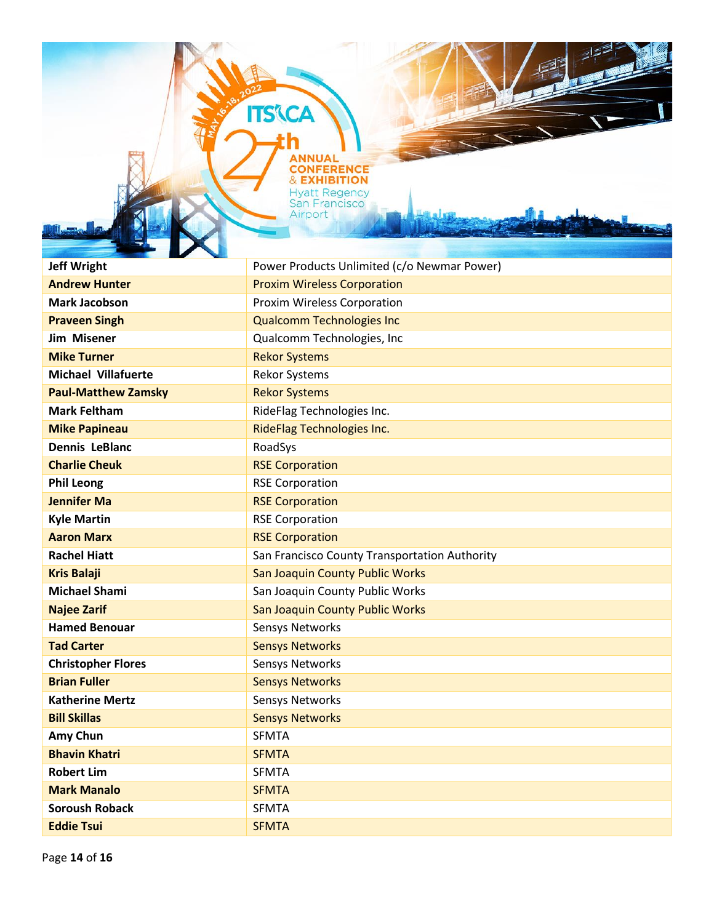**Jeff Wright Power Products Unlimited (c/o Newmar Power) Andrew Hunter Andrew Hunter Proxim Wireless Corporation Mark Jacobson Proxim Wireless Corporation Praveen Singh CONTERNATION Qualcomm Technologies Inc. Jim Misener Conserverse Conserverse Conserverse Conserverse Conserverse Conserverse Conserverse Conserverse Conserverse Conserverse Conserverse Conserverse Conserverse Conserverse Conserverse Conserverse Conserverse Con Mike Turner** Rekor Systems **Michael Villafuerte** Rekor Systems **Paul-Matthew Zamsky** Rekor Systems **Mark Feltham** RideFlag Technologies Inc. **Mike Papineau Community Community RideFlag Technologies Inc. Dennis LeBlanc** RoadSys **Charlie Cheuk** RSE Corporation **Phil Leong** RSE Corporation **Jennifer Ma** RSE Corporation **Kyle Martin** RSE Corporation **Aaron Marx** RSE Corporation **Rachel Hiatt** San Francisco County Transportation Authority **Kris Balaji San Joaquin County Public Works Michael Shami** San Joaquin County Public Works **Najee Zarif** Najee **Zarif** San Joaquin County Public Works Hamed Benouar **Sensys Networks Tad Carter** Sensys Networks **Christopher Flores** Sensys Networks **Brian Fuller** Sensys Networks **Katherine Mertz Sensys Networks** Sensys Networks **Bill Skillas** Sensys Networks **Amy Chun** SFMTA **Bhavin Khatri** SFMTA **Robert Lim** SFMTA **Mark Manalo** SFMTA **Soroush Roback** SFMTA **Eddie Tsui** SFMTA

**ITS'(CA** 

**ONFERENCE & EXHIBITION Hyatt Regency San Francisco** Airport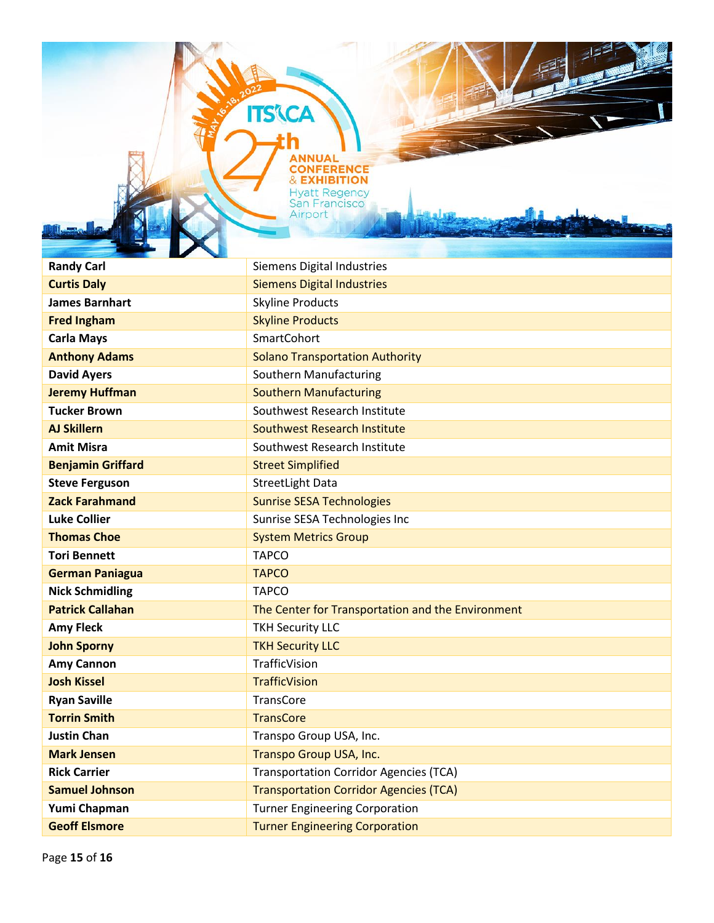**ITS'CA** 

| <b>Randy Carl</b>        | <b>Siemens Digital Industries</b>                 |
|--------------------------|---------------------------------------------------|
| <b>Curtis Daly</b>       | <b>Siemens Digital Industries</b>                 |
| <b>James Barnhart</b>    | <b>Skyline Products</b>                           |
| <b>Fred Ingham</b>       | <b>Skyline Products</b>                           |
| <b>Carla Mays</b>        | <b>SmartCohort</b>                                |
| <b>Anthony Adams</b>     | <b>Solano Transportation Authority</b>            |
| <b>David Ayers</b>       | Southern Manufacturing                            |
| <b>Jeremy Huffman</b>    | <b>Southern Manufacturing</b>                     |
| <b>Tucker Brown</b>      | Southwest Research Institute                      |
| <b>AJ Skillern</b>       | Southwest Research Institute                      |
| <b>Amit Misra</b>        | Southwest Research Institute                      |
| <b>Benjamin Griffard</b> | <b>Street Simplified</b>                          |
| <b>Steve Ferguson</b>    | <b>StreetLight Data</b>                           |
| <b>Zack Farahmand</b>    | <b>Sunrise SESA Technologies</b>                  |
| <b>Luke Collier</b>      | Sunrise SESA Technologies Inc                     |
| <b>Thomas Choe</b>       | <b>System Metrics Group</b>                       |
| <b>Tori Bennett</b>      | <b>TAPCO</b>                                      |
| <b>German Paniagua</b>   | <b>TAPCO</b>                                      |
| <b>Nick Schmidling</b>   | <b>TAPCO</b>                                      |
| <b>Patrick Callahan</b>  | The Center for Transportation and the Environment |
| <b>Amy Fleck</b>         | <b>TKH Security LLC</b>                           |
| <b>John Sporny</b>       | <b>TKH Security LLC</b>                           |
| <b>Amy Cannon</b>        | TrafficVision                                     |
| <b>Josh Kissel</b>       | <b>TrafficVision</b>                              |
| <b>Ryan Saville</b>      | TransCore                                         |
| <b>Torrin Smith</b>      | <b>TransCore</b>                                  |
| <b>Justin Chan</b>       | Transpo Group USA, Inc.                           |
| <b>Mark Jensen</b>       | Transpo Group USA, Inc.                           |
| <b>Rick Carrier</b>      | <b>Transportation Corridor Agencies (TCA)</b>     |
| <b>Samuel Johnson</b>    | <b>Transportation Corridor Agencies (TCA)</b>     |
| Yumi Chapman             | <b>Turner Engineering Corporation</b>             |
| <b>Geoff Elsmore</b>     | <b>Turner Engineering Corporation</b>             |